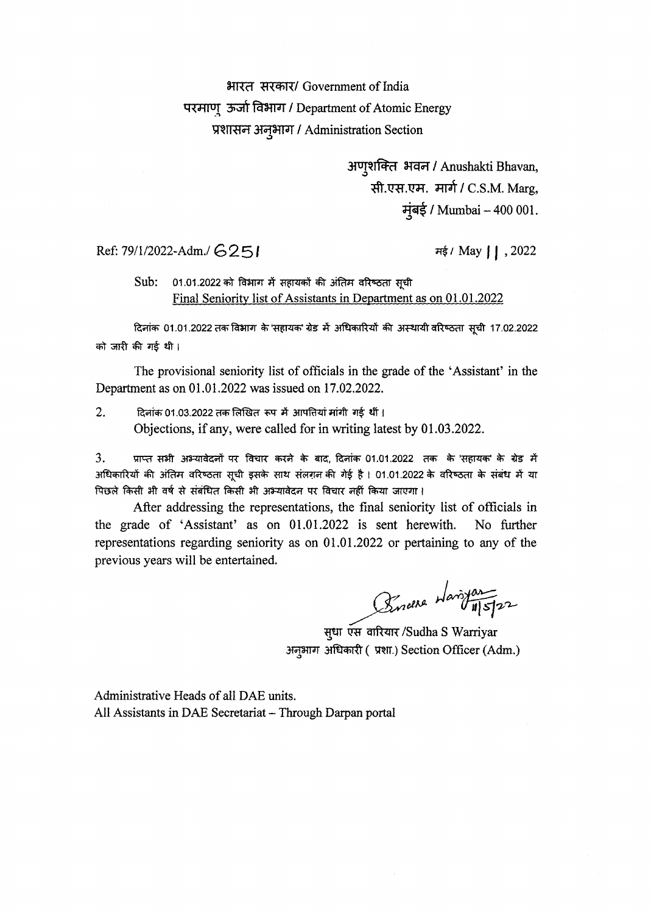### भारत सरकार/ Government of India परमाणु ऊर्जा विभाग / Department of Atomic Energy प्रशासन अनुभाग / Administration Section

अणुशक्ति भवन / Anushakti Bhavan, सी.एस.एम. मार्ग / C.S.M. Marg, म्बई / Mumbai - 400 001.

#### Ref:  $79/1/2022 - \text{Adm.}/\text{G2}51$   $\qquad \qquad \text{Hg} / \text{May} / \text{J}$ , 2022

Sub: 01.01.2022 को विभाग में सहायकों की अंतिम वरिष्ठता सूची Final Seniority list of Assistants in Department as on 01.01.2022

दिनांक 01.01.2022 तक विभाग के 'सहायक' ग्रेड में अधिकारियों की अस्थायी वरिष्ठता सूची 17.02.2022 को जारी की गई थी।

The provisional seniority list of officials in the grade of the 'Assistant' in the Department as on 01.01.2022 was issued on 17.02.2022.

 $2.$   $\overline{c}$  दिनांक 01.03.2022 तक लिखित रूप में आपतियां मांगी गई थीं। Objections, if any, were called for in writing latest by 01.03.2022.

3. प्राप्त सभी अभ्यावेदनों पर विचार करने के बाद, दिनांक 01.01.2022 तक के 'सहायक' के ग्रेड में अधिकारियों की अंतिम वरिष्ठता सुची इसके साथ संलग़न की गेई है l 01.01.2022 के वरिष्ठता के संबंध में या पिछले किसी भी वर्ष से संबंधित किसी भी अभ्यावेदन पर विचार नहीं किया जाएगा।

After addressing the representations, the final seniority list of officials in the grade of 'Assistant' as on 01.01.2022 is sent herewith. No further representations regarding seniority as on 01.01.2022 or pertaining to any of the previous years will be entertained.

Burdera Haristan

सुधा एस वारियार /Sudha S Warriyar अनुभाग अधिकारी (प्रशा.) Section Officer (Adm.)

Administrative Heads of all DAE units. All Assistants in DAE Secretariat — Through Darpan portal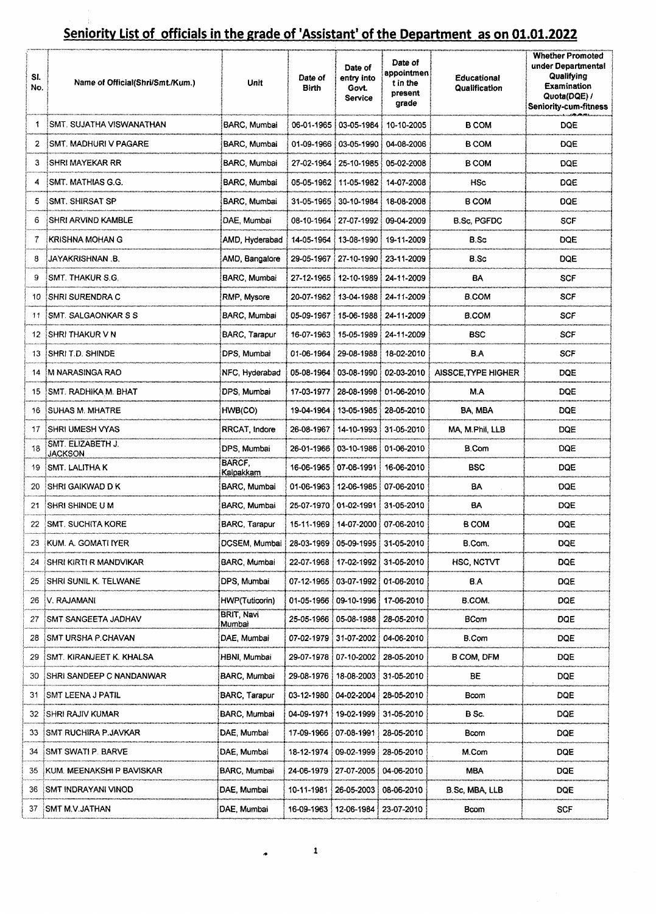| SI.<br>No. | Name of Official(Shri/Smt./Kum.)    | <b>Unit</b>           | Date of<br>Birth        | Date of<br>entry into<br>Govt.<br>Service | Date of<br>appointmen<br>t in the<br>present<br>grade | Educational<br>Qualification | <b>Whether Promoted</b><br>under Departmental<br>Qualifying<br><b>Examination</b><br>Quota(DQE) /<br><b>Seniority-cum-fitness</b> |
|------------|-------------------------------------|-----------------------|-------------------------|-------------------------------------------|-------------------------------------------------------|------------------------------|-----------------------------------------------------------------------------------------------------------------------------------|
|            | SMT. SUJATHA VISWANATHAN            | BARC, Mumbai          |                         | 06-01-1965   03-05-1984                   | 10-10-2005                                            | <b>B COM</b>                 | <b>DOE</b>                                                                                                                        |
| 2          | <b>ISMT. MADHURI V PAGARE</b>       | BARC, Mumbai          |                         | 01-09-1966   03-05-1990                   | 04-08-2006                                            | <b>B COM</b>                 | <b>DQE</b>                                                                                                                        |
| 3          | <b>ISHRI MAYEKAR RR</b>             | BARC, Mumbai          |                         |                                           | 27-02-1964 25-10-1985 05-02-2008                      | <b>B COM</b>                 | DQE                                                                                                                               |
|            | SMT. MATHIAS G.G.                   | BARC, Mumbai          |                         |                                           | 05-05-1962   11-05-1982   14-07-2008                  | HSc                          | DOE                                                                                                                               |
| 5          | <b>ISMT, SHIRSAT SP</b>             | BARC, Mumbai          |                         |                                           | 31-05-1965   30-10-1984   18-08-2008                  | B COM                        | <b>DQE</b>                                                                                                                        |
| 6          | <b><i>ISHRI ARVIND KAMBLE</i></b>   | DAE, Mumbai           |                         |                                           | 08-10-1964 : 27-07-1992 : 09-04-2009                  | <b>B.Sc. PGFDC</b>           | <b>SCF</b>                                                                                                                        |
|            | <b>EKRISHNA MOHAN G</b>             | AMD, Hyderabad        |                         | 14-05-1964   13-08-1990   19-11-2009      |                                                       | B.Sc                         | <b>DQE</b>                                                                                                                        |
| 8          | JAYAKRISHNAN B.                     | AMD, Bangalore        |                         | 29-05-1967   27-10-1990   23-11-2009      |                                                       | B.Sc                         | <b>DQE</b>                                                                                                                        |
| 9          | <b>ISMT. THAKUR S.G.</b>            | BARC, Mumbai          |                         | 27-12-1965 : 12-10-1989 : 24-11-2009      |                                                       | BA                           | <b>SCF</b>                                                                                                                        |
| 10         | <b>ISHRI SURENDRA C</b>             | RMP, Mysore           |                         | 20-07-1962   13-04-1988   24-11-2009      |                                                       | <b>B.COM</b>                 | <b>SCF</b>                                                                                                                        |
| 11         | ISMT. SALGAONKAR S S                | BARC, Mumbai          |                         | 05-09-1967   15-06-1988   24-11-2009      |                                                       | <b>B.COM</b>                 | <b>SCF</b>                                                                                                                        |
| 12.        | ∃SHRI THAKUR V N                    | BARC, Tarapur         |                         | 16-07-1963   15-05-1989   24-11-2009      |                                                       | BSC                          | <b>SCF</b>                                                                                                                        |
| 13         | SHRI T.D. SHINDE                    | DPS, Mumbai           |                         | 01-06-1964 29-08-1988 18-02-2010          |                                                       | B.A                          | SCF                                                                                                                               |
| 14         | IM NARASINGA RAO                    | NFC, Hyderabad        |                         |                                           | 05-08-1964   03-08-1990   02-03-2010                  | AISSCE, TYPE HIGHER          | DQE                                                                                                                               |
| 15         | : SMT. RADHIKA M. BHAT              | DPS, Mumbai           |                         | 17-03-1977 28-08-1998 01-06-2010          |                                                       | M.A                          | <b>DQE</b>                                                                                                                        |
| 16.        | <b>SUHAS M. MHATRE</b>              | HWB(CO)               |                         | 19-04-1964   13-05-1985                   | 28-05-2010                                            | BA, MBA                      | DQE                                                                                                                               |
| 17         | <b>ISHRI UMESH VYAS</b>             | RRCAT, Indore         |                         | 26-08-1967   14-10-1993   31-05-2010      |                                                       | MA, M.Phil, LLB              | DQE                                                                                                                               |
| 18         | SMT. ELIZABETH J.<br><b>JACKSON</b> | DPS, Mumbai           |                         | 26-01-1966   03-10-1986                   | 01-06-2010                                            | B.Com                        | DQE                                                                                                                               |
| 19         | <b>SMT. LALITHA K</b>               | BARCF.<br>Kalpakkam   |                         | 16-06-1965   07-06-1991   16-06-2010      |                                                       | BSC                          | DQE                                                                                                                               |
| 20         | <b>SHRI GAIKWAD D K</b>             | BARC, Mumbai          |                         | 01-06-1963   12-06-1985                   | 07-06-2010                                            | BA                           | DQE                                                                                                                               |
| 21         | :SHRI SHINDE U M                    | BARC, Mumbai          |                         | 25-07-1970   01-02-1991                   | 31-05-2010                                            | BA                           | <b>DQE</b>                                                                                                                        |
| 22         | <b>SMT. SUCHITA KORE</b>            | BARC, Tarapur         |                         | 15-11-1969 14-07-2000 07-06-2010          |                                                       | B COM                        | <b>DQE</b>                                                                                                                        |
| 23         | <b>KUM. A. GOMATI IYER</b>          | DCSEM, Mumbai         | 28-03-1969              |                                           | 05-09-1995 31-05-2010                                 | B.Com.                       | <b>DQE</b>                                                                                                                        |
| 24         | SHRI KIRTI R MANDVIKAR              | BARC, Mumbai          | 22-07-1968              | 17-02-1992   31-05-2010                   |                                                       | <b>HSC, NCTVT</b>            | <b>DQE</b>                                                                                                                        |
| 25         | SHRI SUNIL K. TELWANE               | DPS, Mumbai           |                         | 07-12-1965   03-07-1992   01-06-2010      |                                                       | B.A                          | DQE                                                                                                                               |
| 26         | .V. RAJAMANI                        | <b>HWP(Tuticorin)</b> | 01-05-1966              | 09-10-1996                                | 17-06-2010                                            | <b>B.COM.</b>                | DQE                                                                                                                               |
| 27         | SMT SANGEETA JADHAV                 | BRIT, Navi<br>Mumbai  | 25-05-1966              | 05-08-1988                                | 28-05-2010                                            | <b>BCom</b>                  | DQE                                                                                                                               |
| 28         | :SMT URSHA P.CHAVAN                 | DAE, Mumbai           | 07-02-1979              | 31-07-2002                                | 04-06-2010                                            | B.Com                        | DQE                                                                                                                               |
| 29         | :SMT, KIRANJEET K. KHALSA           | HBNI Mumbai           | 29-07-1978              | 07-10-2002                                | 28-05-2010                                            | B COM, DFM                   | DQE                                                                                                                               |
| 30         | SHRI SANDEEP C NANDANWAR!           | BARC, Mumbai          | 29-08-1976              | 18-08-2003                                | 31-05-2010                                            | BE                           | DQE                                                                                                                               |
| 31         | ∃SMT LEENA J PATIL                  | BARC, Tarapur         |                         | 03-12-1980 04-02-2004                     | 28-05-2010                                            | Bcom                         | DQE                                                                                                                               |
| 32.        | <b>SHRI RAJIV KUMAR</b>             | BARC, Mumbai          | 04-09-1971              | 19-02-1999                                | 31-05-2010                                            | B Sc.                        | DQE                                                                                                                               |
| 33.        | <b>ISMT RUCHIRA P.JAVKAR</b>        | DAE, Mumbai           | 17-09-1966              | 07-08-1991                                | 28-05-2010                                            | Bcom                         | DQE                                                                                                                               |
| 34         | <b>ISMT SWATI P. BARVE</b>          | DAE, Mumbai           | 18-12-1974              | 09-02-1999                                | 28-05-2010                                            | M.Com                        | <b>DQE</b>                                                                                                                        |
| 35         | <b>KUM, MEENAKSHI P BAVISKAR</b>    | BARC, Mumbai          | 24-06-1979   27-07-2005 |                                           | 04-06-2010                                            | <b>MBA</b>                   | <b>DQE</b>                                                                                                                        |
| 36         | :SMT INDRAYANI VINOD                | DAE, Mumbai           | 10-11-1981!             | 26-05-2003                                | 08-06-2010                                            | B.Sc, MBA, LLB               | <b>DQE</b>                                                                                                                        |
|            |                                     | DAE, Mumbai           |                         | 16-09-1963   12-06-1984                   | 23-07-2010                                            | <b>Bcom</b>                  | <b>SCF</b>                                                                                                                        |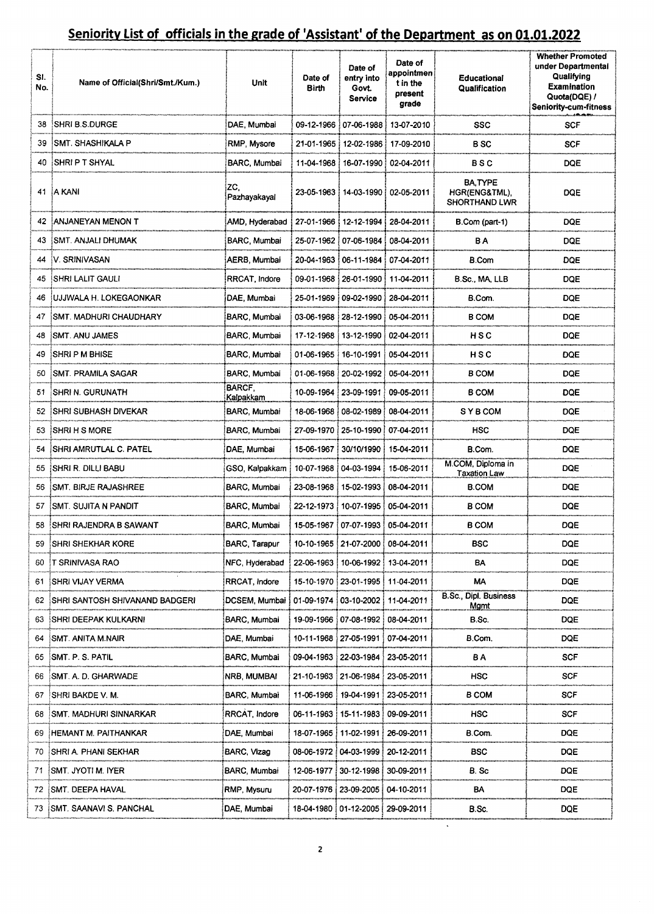| SI.<br>No. | Name of Official(Shri/Smt./Kum.) | Unit                | Date of<br>Birth        | Date of<br>entry into<br>Govt.<br>Service | Date of<br>appointmen<br>t in the<br>present<br>grade | <b>Educational</b><br>Qualification                     | <b>Whether Promoted</b><br>under Departmental<br>Qualifying<br><b>Examination</b><br>Quota(DQE) /<br><b>Seniority-cum-fitness</b> |
|------------|----------------------------------|---------------------|-------------------------|-------------------------------------------|-------------------------------------------------------|---------------------------------------------------------|-----------------------------------------------------------------------------------------------------------------------------------|
| 38         | <b>SHRI B.S.DURGE</b>            | DAE, Mumbai         |                         | 09-12-1966!07-06-1988!                    | 13-07-2010                                            | SSC                                                     | <b>SCF</b>                                                                                                                        |
| 39         | ISMT. SHASHIKALA P               | RMP, Mysore         | 21-01-1965!             |                                           | 12-02-1986   17-09-2010                               | B SC                                                    | <b>SCF</b>                                                                                                                        |
| 40         | <b>SHRIPT SHYAL</b>              | BARC, Mumbai        |                         |                                           | 11-04-1968 16-07-1990 02-04-2011                      | BSC                                                     | <b>DQE</b>                                                                                                                        |
|            | 41 A KANI                        | ZC,<br>Pazhayakayal |                         | 23-05-1963   14-03-1990   02-05-2011      |                                                       | <b>BA.TYPE</b><br>HGR(ENG&TML),<br><b>SHORTHAND LWR</b> | DQE                                                                                                                               |
|            | <b>EANJANEYAN MENON T</b>        | AMD, Hyderabad      |                         |                                           | 27-01-1966   12-12-1994   28-04-2011                  | B.Com (part-1)                                          | DQE                                                                                                                               |
| 43         | <b>SMT. ANJALI DHUMAK</b>        | BARC, Mumbai        |                         | 25-07-1962   07-06-1984                   | 08-04-2011                                            | ΒA                                                      | DQE                                                                                                                               |
|            | <b>IV SRINIVASAN</b>             | AERB, Mumbai        |                         | 20-04-1963   06-11-1984                   | 07-04-2011                                            | <b>B.Com</b>                                            | DQE                                                                                                                               |
|            | 45 SHRI LALIT GAULI              | RRCAT, Indore       |                         | 09-01-1968   26-01-1990                   | 11-04-2011                                            | B.Sc., MA, LLB                                          | DQE                                                                                                                               |
|            | IUJJWALA H. LOKEGAONKAR          | DAE, Mumbai         | 25-01-1969              | : 09-02-1990                              | 28-04-2011                                            | B.Com.                                                  | DQE                                                                                                                               |
| 47         | SMT. MADHURI CHAUDHARY           | BARC, Mumbai        |                         | 03-06-1968   28-12-1990                   | 05-04-2011                                            | <b>B COM</b>                                            | <b>DQE</b>                                                                                                                        |
| 48         | <b>SMT. ANU JAMES</b>            | BARC, Mumbai        | 17-12-1968              | 13-12-1990                                | 02-04-2011                                            | HSC                                                     | DQE                                                                                                                               |
| 49         | <b>SHRIP M BHISE</b>             | BARC Mumbai         | 01-06-1965              | 16-10-1991                                | 05-04-2011                                            | HSC                                                     | <b>DQE</b>                                                                                                                        |
|            | <b>SMT. PRAMILA SAGAR</b>        | BARC, Mumbai        | 01-06-1968              | 20-02-1992                                | 05-04-2011                                            | <b>B COM</b>                                            | DQE                                                                                                                               |
| 51         | <b>ISHRI N. GURUNATH</b>         | BARCF,<br>Kalpakkam | 10-09-1964              | 23-09-1991                                | 09-05-2011                                            | <b>B COM</b>                                            | <b>DQE</b>                                                                                                                        |
| 52         | <b>SHRI SUBHASH DIVEKAR</b>      | BARC, Mumbai        | 18-06-1968              | 08-02-1989                                | 08-04-2011                                            | <b>SYBCOM</b>                                           | DQE                                                                                                                               |
| 53         | <b>ISHRI H S MORE</b>            | BARC, Mumbai        | 27-09-1970              | 25-10-1990                                | 07-04-2011                                            | HSC                                                     | DQE                                                                                                                               |
| 54         | <b>SHRI AMRUTLAL C. PATEL:</b>   | DAE, Mumbai         | 15-06-1967              | 30/10/1990                                | 15-04-2011                                            | B.Com.                                                  | <b>DQE</b>                                                                                                                        |
| 55.        | <b>SHRI R. DILLI BABU</b>        | GSO, Kalpakkam      | 10-07-1968              | 04-03-1994                                | 15-06-2011                                            | M.COM, Diploma in<br><b>Taxation Law</b>                | <b>DQE</b>                                                                                                                        |
| 56         | <b>SMT. BIRJE RAJASHREE</b>      | BARC, Mumbai        | 23-08-1968              | i 15-02-1993 i 08-04-2011                 |                                                       | B.COM                                                   | <b>DQE</b>                                                                                                                        |
| 57         | <b>ISMT. SUJITA N PANDIT</b>     | BARC, Mumbai        |                         | 22-12-1973   10-07-1995   05-04-2011      |                                                       | B COM                                                   | <b>DQE</b>                                                                                                                        |
|            | 58 SHRI RAJENDRA B SAWANT        | BARC, Mumbai        |                         | 15-05-1967 : 07-07-1993 : 05-04-2011      |                                                       | <b>B COM</b>                                            | <b>DOE</b>                                                                                                                        |
| 59         | <b>SHRI SHEKHAR KORE</b>         | BARC, Tarapur       | 10-10-1965              | 21-07-2000                                | 08-04-2011                                            | BSC                                                     | <b>DQE</b>                                                                                                                        |
| 60         | <b>IT SRINIVASA RAO</b>          | NFC, Hyderabad      | 22-06-1963              | 10-06-1992 !                              | 13-04-2011                                            | BA                                                      | <b>DQE</b>                                                                                                                        |
| 61         | SHRI VIJAY VERMA                 | RRCAT, Indore       | 15-10-1970              | 23-01-1995!                               | 11-04-2011                                            | МΑ                                                      | <b>DQE</b>                                                                                                                        |
| 62         | SHRI SANTOSH SHIVANAND BADGERI   | DCSEM, Mumbai       | 01-09-1974              | 03-10-2002                                | 11-04-2011                                            | <b>B.Sc., Dipl. Business</b><br><u>Mgmt</u>             | DQE                                                                                                                               |
| 63         | <b>SHRI DEEPAK KULKARNI</b>      | BARC, Mumbai        | 19-09-1966              | 07-08-1992 08-04-2011                     |                                                       | B.Sc.                                                   | DQE                                                                                                                               |
| 64         | :SMT. ANITA M.NAIR               | DAE, Mumbai         | 10-11-1968              | 27-05-1991                                | 07-04-2011                                            | B.Com.                                                  | DQE                                                                                                                               |
| 65         | :SMT. P. S. PATIL                | BARC, Mumbai        | 09-04-1963 : 22-03-1984 |                                           | 23-05-2011                                            | BΑ                                                      | <b>SCF</b>                                                                                                                        |
| 66         | :SMT. A. D. GHARWADE             | NRB, MUMBAI         | 21-10-1963              | 121-06-1984                               | 23-05-2011                                            | <b>HSC</b>                                              | <b>SCF</b>                                                                                                                        |
| 67         | SHRI BAKDE V. M.                 | BARC, Mumbai        |                         | 11-06-1966   19-04-1991                   | 23-05-2011                                            | <b>B COM</b>                                            | SCF                                                                                                                               |
| 68         | SMT. MADHURI SINNARKAR           | RRCAT Indore        | 06-11-1963              | 15-11-1983                                | 09-09-2011                                            | HSC                                                     | SCF                                                                                                                               |
| 69         | HEMANT M. PAITHANKAR!            | DAE, Mumbai         | 18-07-1965              | : 11-02-1991                              | 26-09-2011                                            | B.Com.                                                  | DQE                                                                                                                               |
| 70         | ¦SHRI A. PHANI SEKHAR            | BARC, Vizag         | 08-06-1972              | 04-03-1999                                | 20-12-2011                                            | BSC                                                     | <b>DQE</b>                                                                                                                        |
| 71         | ismt. Jyoti M. Iyer              | BARC Mumbai         | 12-06-1977 :            | 30-12-1998                                | 30-09-2011                                            | B. Sc                                                   | DQE                                                                                                                               |
| 72         | SMT. DEEPA HAVAL                 | RMP, Mysuru         | 20-07-1976              | 23-09-2005                                | 04-10-2011                                            | BA                                                      | DQE                                                                                                                               |
| 73.        | : SMT. SAANAVI S. PANCHAL        | DAE, Mumbai         |                         | 18-04-1980   01-12-2005                   | 29-09-2011                                            | B.Sc.                                                   | DQE                                                                                                                               |

 $\mathbf{v}$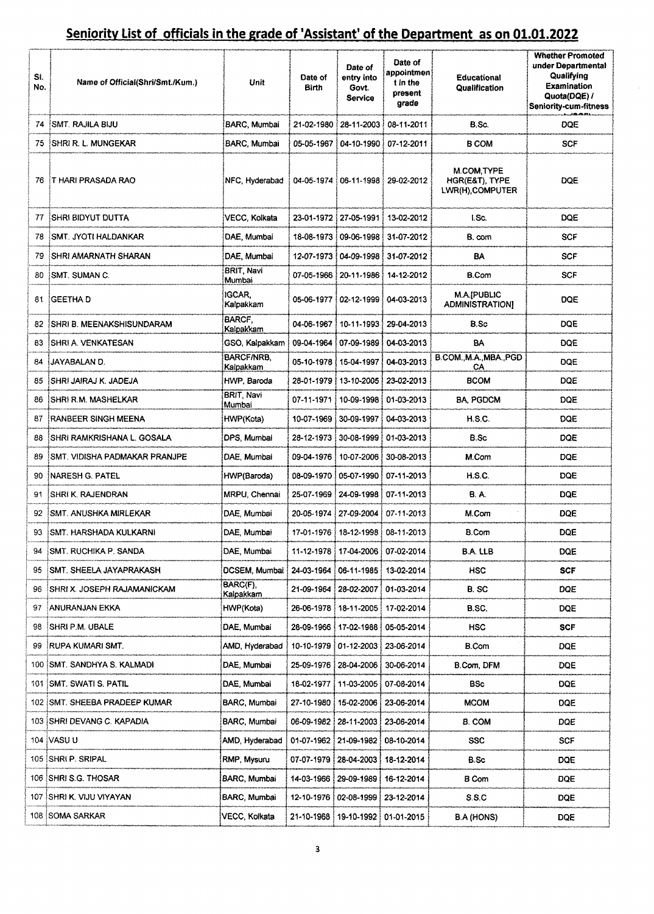| SI.<br>No. | Name of Official(Shri/Smt./Kum.)     | Unit                           | Date of<br><b>Birth</b> | Date of<br>entry into<br>Govt.<br><b>Service</b> | Date of<br>appointmen<br>t in the<br>present<br>grade | <b>Educational</b><br>Qualification              | <b>Whether Promoted</b><br>under Departmental<br>Qualifying<br>Examination<br>Quota(DQE) /<br><b>Seniority-cum-fitness</b> |
|------------|--------------------------------------|--------------------------------|-------------------------|--------------------------------------------------|-------------------------------------------------------|--------------------------------------------------|----------------------------------------------------------------------------------------------------------------------------|
|            | 74 SMT, RAJILA BIJU                  | BARC, Mumbai                   |                         | 21-02-1980 28-11-2003 08-11-2011                 |                                                       | B.Sc.                                            | DQE                                                                                                                        |
| 75         | ISHRI R. L. MUNGEKAR                 | BARC, Mumbai                   |                         | 05-05-1967   04-10-1990   07-12-2011             |                                                       | <b>B COM</b>                                     | <b>SCF</b>                                                                                                                 |
|            | 76 T HARI PRASADA RAO                | NFC, Hyderabad                 |                         |                                                  | 04-05-1974 06-11-1998 29-02-2012                      | M.COM, TYPE<br>HGR(E&T), TYPE<br>LWR(H),COMPUTER | <b>DQE</b>                                                                                                                 |
| 77         | <b>SHRI BIDYUT DUTTA</b>             | VECC, Kolkata                  |                         | 23-01-1972 27-05-1991                            | 13-02-2012                                            | I.Sc.                                            | <b>DQE</b>                                                                                                                 |
| 78         | <b>ISMT. JYOTI HALDANKAR</b>         | DAE, Mumbai                    |                         | 18-08-1973   09-06-1998                          | 31-07-2012                                            | B. com                                           | SCF                                                                                                                        |
| 79         | <b>SHRI AMARNATH SHARAN</b>          | DAE, Mumbai                    |                         | 12-07-1973   04-09-1998                          | 31-07-2012                                            | BA                                               | SCF                                                                                                                        |
| 80         | ISMT. SUMAN C.                       | <b>BRIT, Navi</b><br>Mumbai    |                         | 07-05-1966   20-11-1986                          | 14-12-2012                                            | <b>B.Com</b>                                     | SCF                                                                                                                        |
|            | 81 <b>GEETHA D</b>                   | IGCAR,<br>Kalpakkam            |                         | 05-06-1977   02-12-1999   04-03-2013             |                                                       | M.A.[PUBLIC<br><b>ADMINISTRATIONI</b>            | DQE                                                                                                                        |
|            | 82 SHRI B. MEENAKSHISUNDARAM         | <b>BARCF.</b><br>Kalpakkam     |                         | 04-06-1967   10-11-1993   29-04-2013             |                                                       | B.Sc                                             | <b>DOE</b>                                                                                                                 |
| 83         | <b>ISHRI A. VENKATESAN</b>           | GSO, Kalpakkam                 | 09-04-1964              | 07-09-1989                                       | 04-03-2013                                            | BA                                               | <b>DOE</b>                                                                                                                 |
| 84         | <b>UAYABALAN D.</b>                  | <b>BARCF/NRB.</b><br>Kalpakkam | 05-10-1978 i            | 15-04-1997                                       | 04-03-2013                                            | B.COM., M.A., MBA., PGD<br>CA                    | <b>DQE</b>                                                                                                                 |
| 85         | SHRI JAIRAJ K. JADEJA                | HWP Baroda                     |                         | 28-01-1979   13-10-2005   23-02-2013             |                                                       | <b>BCOM</b>                                      | DOE                                                                                                                        |
| 86         | ISHRI R.M. MASHELKAR                 | BRIT, Navi<br>Mumbai           |                         | 07-11-1971   10-09-1998   01-03-2013             |                                                       | <b>BA, PGDCM</b>                                 | DQE                                                                                                                        |
| 87         | RANBEER SINGH MEENA                  | HWP(Kota)                      |                         | 10-07-1969   30-09-1997                          | 04-03-2013                                            | H.S.C.                                           | DQE                                                                                                                        |
| 88         | ISHRI RAMKRISHANA L. GOSALA          | DPS, Mumbai                    |                         | 28-12-1973 : 30-08-1999 !                        | 01-03-2013                                            | B.Sc                                             | DOE                                                                                                                        |
| 89         | <b>SMT. VIDISHA PADMAKAR PRANJPE</b> | DAE, Mumbai                    |                         | 09-04-1976 10-07-2006 130-08-2013                |                                                       | M.Com                                            | <b>DOE</b>                                                                                                                 |
| 90.        | INARESH G. PATEL                     | HWP(Baroda)                    |                         | 08-09-1970   05-07-1990   07-11-2013             |                                                       | H.S.C.                                           | <b>DOE</b>                                                                                                                 |
| 91         | ISHRI K. RAJENDRAN                   | <b>MRPU, Chennai</b>           |                         | 25-07-1969 24-09-1998 07-11-2013                 |                                                       | <b>B.A.</b>                                      | DQE                                                                                                                        |
| 92.        | <b>SMT. ANUSHKA MIRLEKAR</b>         | DAE, Mumbai                    |                         | 20-05 1974 27-09-2004 07-11-2013                 |                                                       | M.Com                                            | DQE                                                                                                                        |
| 93         | SMT. HARSHADA KULKARNI               | DAE, Mumbai                    |                         | 17-01-1976   18-12-1998   08-11-2013             |                                                       | <b>B.Com</b>                                     | DQE                                                                                                                        |
| 94         | SMT. RUCHIKA P. SANDA                | DAE, Mumbai                    |                         | 11-12-1978   17-04-2006   07-02-2014             |                                                       | B.A. LLB                                         | DQE                                                                                                                        |
| 95         | SMT. SHEELA JAYAPRAKASH              | DCSEM, Mumbai                  | 24-03-1964              | 06-11-1985                                       | : 13-02-2014                                          | <b>HSC</b>                                       | SCF                                                                                                                        |
| 96         | ISHRI X. JOSEPH RAJAMANICKAM         | BARC(F),<br>Kalpakkam          | 21-09-1964              | 28-02-2007                                       | 01-03-2014                                            | B. SC                                            | DQE                                                                                                                        |
| 97         | :ANURANJAN EKKA                      | HWP(Kota)                      | 26-06-1978              | 18-11-2005                                       | 17-02-2014 ف                                          | B.SC.                                            | <b>DQE</b>                                                                                                                 |
| 98.        | <b>ISHRI P.M. UBALE</b>              | DAE, Mumbai                    |                         | 28-09-1966   17-02-1988                          | 05-05-2014                                            | HSC                                              | SCF                                                                                                                        |
| 99         | <b>RUPA KUMARI SMT.</b>              | AMD, Hyderabad                 | 10-10-1979   01-12-2003 |                                                  | 23-06-2014                                            | <b>B.Com</b>                                     | <b>DQE</b>                                                                                                                 |
|            | 100 SMT. SANDHYA S. KALMADI          | DAE, Mumbai                    | 25-09-1976              | 28-04-2006                                       | 30-06-2014                                            | B.Com, DFM                                       | <b>DQE</b>                                                                                                                 |
| 101        | ISMT. SWATI S. PATIL                 | DAE, Mumbai                    |                         | 18-02-1977   11-03-2005                          | 07-08-2014                                            | BSc                                              | <b>DQE</b>                                                                                                                 |
|            | 102 SMT. SHEEBA PRADEEP KUMAR        | BARC, Mumbai                   |                         | 27-10-1980   15-02-2006                          | 23-06-2014                                            | <b>MCOM</b>                                      | <b>DQE</b>                                                                                                                 |
|            | 103 SHRI DEVANG C. KAPADIA           | BARC, Mumbai                   |                         | 06-09-1982   28-11-2003                          | 23-06-2014                                            | B. COM                                           | DQE                                                                                                                        |
|            | 104 IVASU U                          | AMD, Hyderabad                 |                         | 01-07-1962 21-09-1982 :                          | 08-10-2014                                            | <b>SSC</b>                                       | <b>SCF</b>                                                                                                                 |
|            | 105 : SHRI P. SRIPAL                 | RMP, Mysuru                    |                         | 07-07-1979   28-04-2003                          | 18-12-2014                                            | B.Sc                                             | DQE                                                                                                                        |
|            | 106 SHRI S.G. THOSAR                 | BARC, Mumbai                   | 14-03-1966              | 29-09-1989                                       | 16-12-2014                                            | B Com                                            | DQE                                                                                                                        |
|            | 107 ISHRI K. VIJU VIYAYAN            | BARC, Mumbai                   | 12-10-1976              | $: 02 - 08 - 1999$                               | 23-12-2014                                            | S.S.C                                            | DQE                                                                                                                        |
|            | 108 SOMA SARKAR                      | VECC, Kolkata                  | 21-10-1968!             | 19-10-1992 01-01-2015                            |                                                       | B.A (HONS)                                       | DQE                                                                                                                        |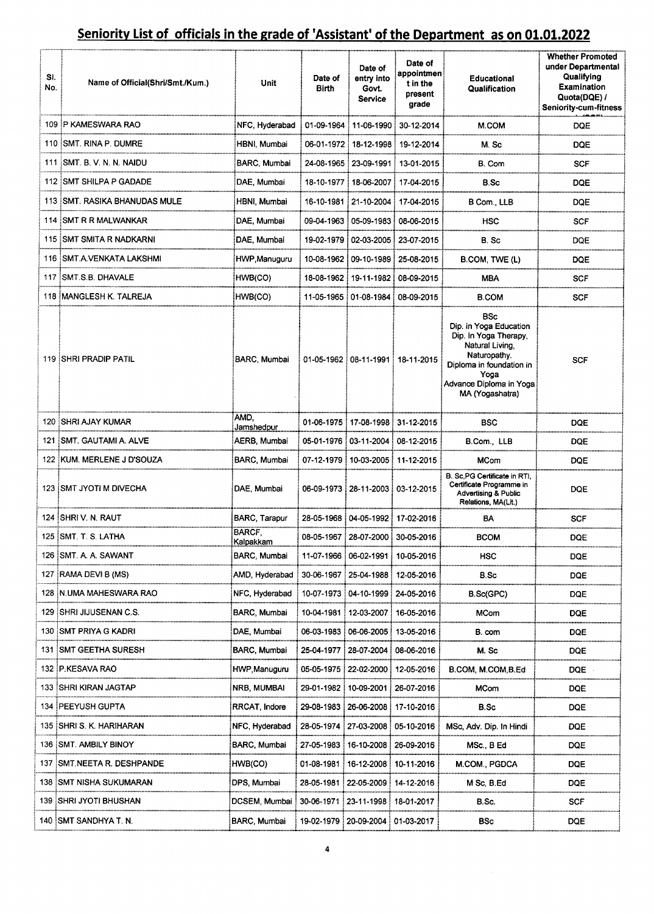| SI.<br>No. | Name of Official(Shri/Smt./Kum.) | Unit                  | Date of<br><b>Birth</b> | Date of<br>entry into<br>Govt.<br><b>Service</b> | Date of<br>appointmen∮<br>t in the<br>present<br>grade | <b>Educational</b><br>Qualification                                                                                                                                                | <b>Whether Promoted</b><br>under Departmental<br>Qualifying<br><b>Examination</b><br>Quota(DQE) /<br><b>Seniority-cum-fitness</b> |
|------------|----------------------------------|-----------------------|-------------------------|--------------------------------------------------|--------------------------------------------------------|------------------------------------------------------------------------------------------------------------------------------------------------------------------------------------|-----------------------------------------------------------------------------------------------------------------------------------|
|            | 109 IP KAMESWARA RAO             | NFC, Hyderabad        | 01-09-1964              | 11-06-1990 !                                     | 30-12-2014                                             | M.COM                                                                                                                                                                              | <b>DQE</b>                                                                                                                        |
|            | 110 ISMT. RINA P. DUMRE          | HBNI, Mumbai          |                         | 06-01-1972 i 18-12-1998 i 19-12-2014             |                                                        | M. Sc                                                                                                                                                                              | <b>DQE</b>                                                                                                                        |
|            | 111 ISMT. B. V. N. N. NAIDU      | BARC, Mumbai          |                         |                                                  | 24-08-1965   23-09-1991   13-01-2015                   | B. Com                                                                                                                                                                             | <b>SCF</b>                                                                                                                        |
|            | 112 ISMT SHILPA P GADADE         | DAE. Mumbai           |                         | 18-10-1977 i 18-06-2007 i 17-04-2015             |                                                        | B Sc                                                                                                                                                                               | <b>DQE</b>                                                                                                                        |
|            | 113 ISMT. RASIKA BHANUDAS MULE   | HBNI, Mumbai          |                         |                                                  | 16-10-1981 : 21-10-2004 : 17-04-2015                   | B Com., LLB                                                                                                                                                                        | <b>DQE</b>                                                                                                                        |
|            | 114 ISMT R R MALWANKAR           | DAE, Mumbai           |                         | 09-04-1963 ! 05-09-1983 !                        | 08-06-2015                                             | <b>HSC</b>                                                                                                                                                                         | <b>SCF</b>                                                                                                                        |
|            | 115 ISMT SMITA R NADKARNI        | DAE, Mumbai           |                         | 19-02-1979   02-03-2005                          | 23-07-2015                                             | B. Sc                                                                                                                                                                              | <b>DQE</b>                                                                                                                        |
|            | 116 SMT A VENKATA LAKSHMI        | HWP.Manuguru          |                         | 10-08-1962   09-10-1989                          | 25-08-2015                                             | B.COM, TWE (L)                                                                                                                                                                     | DQE                                                                                                                               |
|            | 117 ISMT.S.B. DHAVALE            | HWB(CO)               |                         | 18-08-1962 i 19-11-1982 i 08-09-2015             |                                                        | MBA                                                                                                                                                                                | SCF                                                                                                                               |
|            | 118 IMANGLESH K. TALREJA         | HWB(CO)               |                         | 11-05-1965   01-08-1984                          | 08-09-2015                                             | <b>B.COM</b>                                                                                                                                                                       | SCF                                                                                                                               |
|            | <b>119 SHRI PRADIP PATIL</b>     | BARC, Mumbai          |                         | 01-05-1962 08-11-1991 18-11-2015                 |                                                        | <b>BSc</b><br>Dip. in Yoga Education<br>Dip. In Yoga Therapy,<br>Natural Living,<br>Naturopathy.<br>Diploma in foundation in<br>Yoga<br>Advance Diploma in Yoga<br>MA (Yogashatra) | SCF                                                                                                                               |
|            | 120 SHRI AJAY KUMAR              | AMD,<br>Jamshedpur    |                         | 01-06-1975   17-08-1998   31-12-2015             |                                                        | BSC                                                                                                                                                                                | <b>DQE</b>                                                                                                                        |
| 121        | ISMT, GAUTAMI A. ALVE            | AERB, Mumbai          |                         | 05-01-1976   03-11-2004                          | 08-12-2015                                             | B.Com., LLB                                                                                                                                                                        | <b>DQE</b>                                                                                                                        |
|            | 122   KUM, MERLENE J D'SOUZA     | BARC, Mumbai          |                         | 07-12-1979   10-03-2005   11-12-2015             |                                                        | <b>MCom</b>                                                                                                                                                                        | <b>DQE</b>                                                                                                                        |
|            | 123 SMT JYOTI M DIVECHA          | DAE, Mumbai           |                         | 06-09-1973 28-11-2003 03-12-2015                 |                                                        | B. Sc.PG Certificate in RTI,<br>Certificate Programme in<br><b>Advertising &amp; Public</b><br>Relations, MA(Lit.)                                                                 | DQE                                                                                                                               |
|            | 124 SHRI V. N. RAUT              | <b>BARC</b> , Tarapur |                         | 28-05-1968 04-05-1992 17-02-2016                 |                                                        | BA                                                                                                                                                                                 | <b>SCF</b>                                                                                                                        |
|            | 125 SMT. T. S. LATHA             | BARCF,<br>Kalpakkam   | 08-05-1967              | 28-07-2000                                       | 30-05-2016                                             | <b>BCOM</b>                                                                                                                                                                        | <b>DQE</b>                                                                                                                        |
| 126        | ISMT. A. A. SAWANT               | BARC, Mumbai          | 11-07-1966              | 06-02-1991 i                                     | 10-05-2016                                             | <b>HSC</b>                                                                                                                                                                         | DQE                                                                                                                               |
| 127        | <b>FRAMA DEVI B (MS)</b>         | AMD, Hyderabad        | 30-06-1967 i            | 25-04-1988                                       | 12-05-2016                                             | B.Sc                                                                                                                                                                               | DQE                                                                                                                               |
| 128        | IN.UMA MAHESWARA RAO             | NFC, Hyderabad        | 10-07-1973              | 04-10-1999                                       | 24-05-2016                                             | B.Sc(GPC)                                                                                                                                                                          | DQE                                                                                                                               |
| 129        | (SHRI JIJUSENAN C.S.             | BARC, Mumbai          | 10-04-1981 i            | 12-03-2007                                       | 16-05-2016                                             | <b>MCom</b>                                                                                                                                                                        | <b>DQE</b>                                                                                                                        |
| 130        | :SMT PRIYA G KADRI               | DAE Mumbai            | 06-03-1983              | 06-06-2005                                       | 13-05-2016                                             | B. com                                                                                                                                                                             | DQE                                                                                                                               |
|            | <b>ISMT GEETHA SURESH</b>        | BARC, Mumbai          | 25-04-1977              | 28-07-2004                                       | 08-06-2016                                             | M. Sc                                                                                                                                                                              | <b>DQE</b>                                                                                                                        |
|            | 132 P.KESAVA RAO                 | HWP,Manuguru          | 05-05-1975              | $\frac{1}{2}$ 22-02-2000                         | 12-05-2016                                             | B.COM, M.COM, B.Ed                                                                                                                                                                 | DQE.                                                                                                                              |
| 133.       | ISHRI KIRAN JAGTAP               | NRB, MUMBAI           | 29-01-1982              | 10-09-2001                                       | 26-07-2016                                             | MCom                                                                                                                                                                               | <b>DQE</b>                                                                                                                        |
| 134        | PEEYUSH GUPTA!                   | RRCAT, Indore         | 29-08-1983              | 26-06-2008                                       | 17-10-2016                                             | B.Sc                                                                                                                                                                               | <b>DQE</b>                                                                                                                        |
| 135        | ISHRI S. K. HARIHARAN            | NFC, Hyderabad        | 28-05-1974              | 27-03-2008                                       | 05-10-2016                                             | MSc, Adv. Dip. In Hindi                                                                                                                                                            | <b>DQE</b>                                                                                                                        |
|            | 136 [SMT. AMBILY BINOY           | BARC, Mumbai          | 27-05-1983              | 16-10-2008                                       | 26-09-2016                                             | MSc., B Ed                                                                                                                                                                         | <b>DQE</b>                                                                                                                        |
|            | 137 SMT NEETA R. DESHPANDE       | HWB(CO)               | 01-08-1981              | 16-12-2008                                       | 10-11-2016                                             | M.COM., PGDCA                                                                                                                                                                      | <b>DQE</b>                                                                                                                        |
|            | 138 ISMT NISHA SUKUMARAN         | DPS, Mumbai           | 28-05-1981              | 22-05-2009                                       | 14-12-2016                                             | M Sc, B.Ed                                                                                                                                                                         | DQE                                                                                                                               |
|            | 139   SHRI JYOTI BHUSHAN         | DCSEM, Mumbai         | 30-06-1971              | 23-11-1998                                       | 18-01-2017                                             | B.Sc.                                                                                                                                                                              | SCF                                                                                                                               |
|            | 140 SMT SANDHYA T. N.            | BARC, Mumbai          |                         | 19-02-1979 20-09-2004                            | 01-03-2017                                             | <b>BSc</b>                                                                                                                                                                         | <b>DQE</b>                                                                                                                        |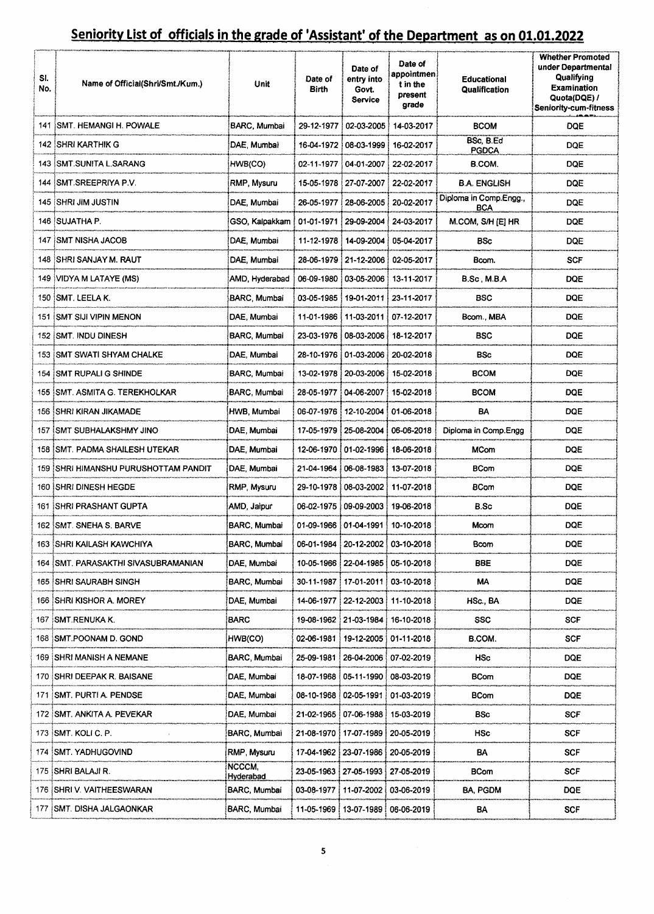| SI.<br>No. | Name of Official(Shri/Smt./Kum.)     | <b>Unit</b>         | Date of<br>Birth        | Date of<br>entry into<br>Govt.<br>Service | Date of<br>appointmen<br>t in the<br>present<br>grade | <b>Educational</b><br>Qualification  | <b>Whether Promoted</b><br>under Departmental<br>Qualifying<br><b>Examination</b><br>Quota(DQE) /<br><b>Seniority-cum-fitness</b> |
|------------|--------------------------------------|---------------------|-------------------------|-------------------------------------------|-------------------------------------------------------|--------------------------------------|-----------------------------------------------------------------------------------------------------------------------------------|
|            | 141 SMT. HEMANGI H. POWALE           | BARC, Mumbai        |                         | 29-12-1977   02-03-2005                   | 14-03-2017                                            | <b>BCOM</b>                          | DQE                                                                                                                               |
|            | 142 ISHRI KARTHIK G                  | DAE, Mumbai         |                         | 16-04-1972   08-03-1999                   | 16-02-2017                                            | BSc, B.Ed<br><b>PGDCA</b>            | DQE                                                                                                                               |
|            | 143 : SMT SUNITA L SARANG            | HWB(CO)             |                         | 02-11-1977 04-01-2007                     | 22-02-2017                                            | B.COM.                               | <b>DQE</b>                                                                                                                        |
|            | 144 SMT SREEPRIYA P.V.               | RMP, Mysuru         |                         | 15-05-1978   27-07-2007                   | 22-02-2017                                            | <b>B.A. ENGLISH</b>                  | DQE                                                                                                                               |
|            | 145 ISHRI JIM JUSTIN                 | DAE, Mumbai         |                         | 26-05-1977   28-06-2005                   | 20-02-2017                                            | Diploma in Comp.Engg.,<br><b>BCA</b> | <b>DOE</b>                                                                                                                        |
|            | 146 ISUJATHA P.                      | GSO, Kalpakkam      | 01-01-1971              | 29-09-2004                                | 24-03-2017                                            | M.COM, S/H [E] HR                    | <b>DQE</b>                                                                                                                        |
|            | 147 ISMT NISHA JACOB                 | DAE, Mumbai         |                         | 11-12-1978 14-09-2004                     | 05-04-2017                                            | BSc                                  | <b>DQE</b>                                                                                                                        |
|            | 148 SHRI SANJAY M. RAUT              | DAE, Mumbai         |                         | 28-06-1979 21-12-2006                     | 02-05-2017                                            | Bcom.                                | <b>SCF</b>                                                                                                                        |
|            | 149 VIDYA M LATAYE (MS)              | AMD, Hyderabad      |                         | 06-09-1980 : 03-05-2006                   | i 13-11-2017                                          | B.Sc , M.B.A                         | <b>DQE</b>                                                                                                                        |
|            | 150 ISMT. LEELA K.                   | BARC, Mumbai        | 03-05-1985              | 19-01-2011                                | 23-11-2017                                            | <b>BSC</b>                           | DQE                                                                                                                               |
|            | 151 ISMT SIJI VIPIN MENON            | DAE, Mumbai         | 11-01-1986              |                                           | 11-03-2011 07-12-2017                                 | Bcom., MBA                           | <b>DQE</b>                                                                                                                        |
|            | 152 ISMT. INDU DINESH                | <b>BARC, Mumbai</b> |                         | 23-03-1976   08-03-2006                   | 18-12-2017                                            | BSC                                  | DQE                                                                                                                               |
|            | 153 ISMT SWATI SHYAM CHALKE          | DAE, Mumbai         | 28-10-1976              | 101-03-2006                               | 20-02-2018                                            | BSc                                  | DQE                                                                                                                               |
|            | 154 SMT RUPALI G SHINDE              | <b>BARC, Mumbai</b> |                         | 13-02-1978 20-03-2006                     | 15-02-2018                                            | <b>BCOM</b>                          | <b>DOE</b>                                                                                                                        |
|            | 155 ISMT. ASMITA G. TEREKHOLKAR      | BARC, Mumbai        |                         | 28-05-1977 : 04-06-2007 :                 | 15-02-2018                                            | <b>BCOM</b>                          | <b>DQE</b>                                                                                                                        |
|            | 156 SHRI KIRAN JIKAMADE              | HWB, Mumbai         | 06-07-1976              |                                           | 01-06-2018                                            | BA                                   | <b>DQE</b>                                                                                                                        |
|            | 157 SMT SUBHALAKSHMY JINO            | DAE, Mumbai         | 17-05-1979              | : 25-08-2004 : 06-06-2018                 |                                                       | Diploma in Comp.Engg                 | DQE                                                                                                                               |
|            | 158 SMT. PADMA SHAILESH UTEKAR       | DAE, Mumbai         |                         | 12-06-1970   01-02-1996                   | 18-06-2018                                            | <b>MCom</b>                          | <b>DQE</b>                                                                                                                        |
|            | 159 SHRI HIMANSHU PURUSHOTTAM PANDIT | DAE, Mumbai         |                         | 21-04-1964   06-08-1983   13-07-2018      |                                                       | <b>BCom</b>                          | DQE                                                                                                                               |
|            | 160 SHRI DINESH HEGDE                | RMP, Mysuru         | 29-10-1978              | 08-03-2002 11-07-2018 في                  |                                                       | <b>BCom</b>                          | DQE                                                                                                                               |
|            | 161 ISHRI PRASHANT GUPTA             | AMD Jaipur          |                         | 06-02-1975 109-09-2003 19-06-2018         |                                                       | B.Sc                                 | <b>DQE</b>                                                                                                                        |
|            | 162 ISMT. SNEHA S. BARVE             | BARC, Mumbai        |                         | 01-09-1966   01-04-1991   10-10-2018      |                                                       | Mcom                                 | DQE                                                                                                                               |
|            | 163 ISHRI KAILASH KAWCHIYA           | BARC, Mumbai        |                         | 06-01-1984   20-12-2002                   | 03-10-2018                                            | Bcom                                 | DQE                                                                                                                               |
|            | SMT, PARASAKTHI SIVASUBRAMANIAN      | DAE. Mumbai         |                         | 10-05-1966   22-04-1985   05-10-2018      |                                                       | BBE                                  | DQE                                                                                                                               |
| 165        | <b>SHRI SAURABH SINGH</b>            | BARC, Mumbai        |                         | 30-11-1987 ! 17-01-2011 !                 | 03-10-2018                                            | МA                                   | DQE                                                                                                                               |
| 166        | <b>ISHRI KISHOR A. MOREY</b>         | DAE, Mumbai         |                         | 14-06-1977   22-12-2003   11-10-2018      |                                                       | HSc., BA                             | DQE                                                                                                                               |
| 167        | <b>SMT RENUKA K.</b>                 | BARC                |                         | 19-08-1962 : 21-03-1984                   | 16-10-2018                                            | SSC                                  | SCF.                                                                                                                              |
|            | 168 SMT.POONAM D. GOND               | HWB(CO)             |                         | 02-06-1981 : 19-12-2005 : 01-11-2018      |                                                       | B.COM.                               | <b>SCF</b>                                                                                                                        |
|            | 169 ISHRI MANISH A NEMANE            | BARC, Mumbai        |                         | 25-09-1981 ፣ 26-04-2006 ፣                 | 07-02-2019                                            | HSc                                  | <b>DQE</b>                                                                                                                        |
|            | 170 ISHRI DEEPAK R. BAISANE          | DAE, Mumbai         |                         | 18-07-1968   05-11-1990                   | 08-03-2019                                            | BCom                                 | <b>DOE</b>                                                                                                                        |
|            | 171 ISMT, PURTI A. PENDSE            | DAE, Mumbai         |                         | 08-10-1968 02-05-1991                     | 01-03-2019                                            | BCom                                 | <b>DQE</b>                                                                                                                        |
|            | 172 ISMT. ANKITA A. PEVEKAR          | DAE, Mumbai         | 21-02-1965   07-06-1988 |                                           | 15-03-2019                                            | BSc                                  | <b>SCF</b>                                                                                                                        |
|            | 173 SMT. KOLI C. P.                  | BARC, Mumbai        | 21-08-1970              | ا 17-07-1989 ؛                            | 20-05-2019                                            | HSc                                  | <b>SCF</b>                                                                                                                        |
| 174        | SMT. YADHUGOVIND                     | RMP, Mysuru         | 17-04-1962              | 23-07-1986                                | 20-05-2019                                            | BA                                   | SCF                                                                                                                               |
| 175        | <b>ISHRI BALAJI R.</b>               | NCCCM,<br>Hyderabad |                         | 23-05-1963   27-05-1993   27-05-2019      |                                                       | BCom                                 | SCF                                                                                                                               |
| 176        | <b>SHRI V. VAITHEESWARAN</b>         | BARC, Mumbai        | 03-08-1977              | 11-07-2002 !                              | 03-06-2019                                            | BA, PGDM                             | DQE                                                                                                                               |
|            | 177 ISMT. DISHA JALGAONKAR           | BARC, Mumbai        |                         | 11-05-1969   13-07-1989   06-06-2019      |                                                       | ВA                                   | <b>SCF</b>                                                                                                                        |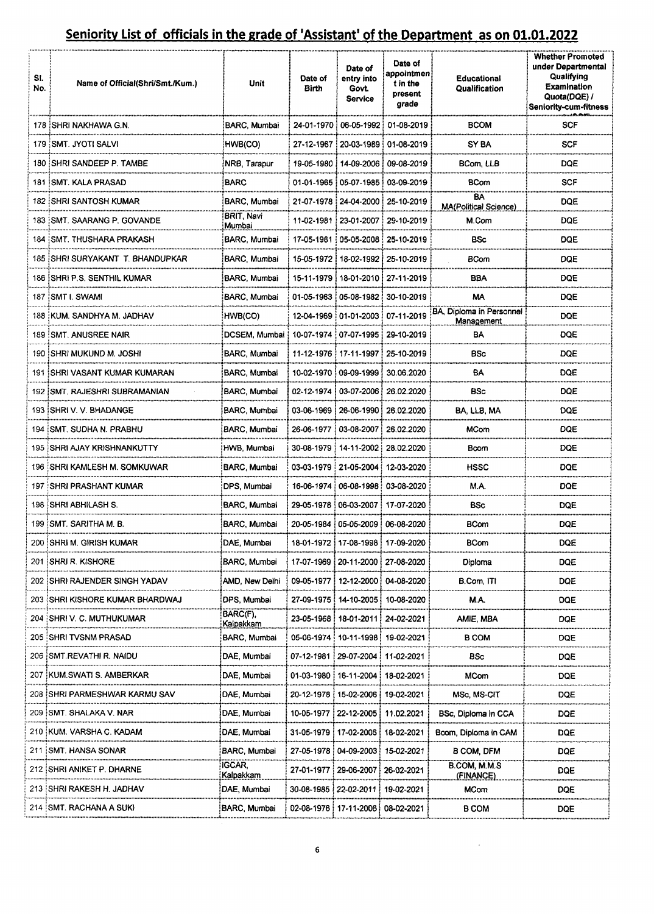| SI.<br>No. | Name of Official(Shri/Smt./Kum.)  | Unit                      | Date of<br>Birth | Date of<br>entry into<br>Govt.<br>Service | Date of<br>appointmen<br>t in the<br>present<br>grade | <b>Educational</b><br>Qualification    | <b>Whether Promoted</b><br>under Departmental<br>Qualifying<br>Examination<br>Quota(DQE) /<br><b>Seniority-cum-fitness</b> |
|------------|-----------------------------------|---------------------------|------------------|-------------------------------------------|-------------------------------------------------------|----------------------------------------|----------------------------------------------------------------------------------------------------------------------------|
|            | 178 ISHRI NAKHAWA G.N.            | BARC, Mumbai              |                  |                                           | 24-01-1970   06-05-1992   01-08-2019                  | <b>BCOM</b>                            | SCF                                                                                                                        |
|            | 179 ISMT. JYOTI SALVI             | HWB(CO)                   | 27-12-1967       |                                           | 20-03-1989 i 01-08-2019                               | SY BA                                  | SCF                                                                                                                        |
|            | 180 ISHRI SANDEEP P. TAMBE        | NRB, Tarapur              | 19-05-1980 i     |                                           | 14-09-2006   09-08-2019                               | BCom, LLB                              | <b>DQE</b>                                                                                                                 |
|            | 181 ISMT. KALA PRASAD             | BARC                      |                  | 01-01-1965   05-07-1985   03-09-2019      |                                                       | BCom                                   | <b>SCF</b>                                                                                                                 |
|            | 182 ISHRI SANTOSH KUMAR           | BARC, Mumbai              |                  | 21-07-1978 : 24-04-2000 !                 | 25-10-2019                                            | BA<br>MA(Political Science)            | <b>DQE</b>                                                                                                                 |
|            | 183 ISMT. SAARANG P. GOVANDE      | BRIT, Navi<br>Mumbai      | 11-02-1981       | 23-01-2007                                | 29-10-2019                                            | M.Com                                  | DQE                                                                                                                        |
|            | 184 ISMT. THUSHARA PRAKASH        | BARC Mumbai               | 17-05-1981       | 05-05-2008                                | 25-10-2019                                            | BSc                                    | <b>DQE</b>                                                                                                                 |
|            | 185 ISHRI SURYAKANT T. BHANDUPKAR | BARC, Mumbai              |                  | 15-05-1972   18-02-1992                   | 25-10-2019                                            | <b>BCom</b>                            | DQE                                                                                                                        |
|            | 186 ISHRI P.S. SENTHIL KUMAR      | <b>BARC, Mumbai</b>       | 15-11-1979       | 18-01-2010                                | 27-11-2019                                            | <b>BBA</b>                             | DQE                                                                                                                        |
|            | 187 ISMT I. SWAMI                 | BARC, Mumbai              | 01-05-1963       | 05-08-1982                                | 30-10-2019                                            | МA                                     | <b>DQE</b>                                                                                                                 |
|            | 188 EKUM, SANDHYA M. JADHAV       | HWB(CO)                   |                  | 12-04-1969 01-01-2003                     | 07-11-2019                                            | BA, Diploma in Personnel<br>Management | <b>DQE</b>                                                                                                                 |
|            | 189 SMT. ANUSREE NAIR             | DCSEM, Mumbai             | 10-07-1974       | 07-07-1995                                | 29-10-2019                                            | BA                                     | <b>DQE</b>                                                                                                                 |
|            | 190 ISHRI MUKUND M. JOSHI         | BARC, Mumbai              | 11-12-1976       | 17-11-1997                                | 25-10-2019                                            | <b>BSc</b>                             | <b>DQE</b>                                                                                                                 |
| 191        | ISHRI VASANT KUMAR KUMARAN        | BARC, Mumbai              | 10-02-1970       | 09-09-1999                                | 30.06.2020                                            | BA                                     | DQE                                                                                                                        |
|            | 192 ISMT, RAJESHRI SUBRAMANIAN    | BARC, Mumbai              | 02-12-1974       | 03-07-2006                                | 26.02.2020                                            | <b>BSc</b>                             | DQE                                                                                                                        |
|            | 193 SHRI V. V. BHADANGE           | <b>BARC Mumbai</b>        | 03-06-1969       | 26-06-1990                                | 26.02.2020                                            | BA, LLB, MA                            | DQE                                                                                                                        |
|            | 194 ISMT. SUDHA N. PRABHU         | BARC, Mumbai              | 26-06-1977       | 03-08-2007                                | 26.02.2020                                            | <b>MCom</b>                            | DQE                                                                                                                        |
|            | 195 ISHRI AJAY KRISHNANKUTTY      | HWB, Mumbai               | 30-08-1979       |                                           | 14-11-2002 28.02.2020                                 | Bcom                                   | DQE                                                                                                                        |
|            | 196 SHRI KAMLESH M. SOMKUWAR      | BARC, Mumbai              | 03-03-1979       |                                           | 21-05-2004 12-03-2020                                 | HSSC                                   | DQE                                                                                                                        |
|            | 197 ISHRI PRASHANT KUMAR          | DPS, Mumbai               | 16-06-1974       |                                           | 06-08-1998   03-08-2020                               | M.A.                                   | DQE                                                                                                                        |
|            | 198 SHRI ABHILASH S.              | BARC, Mumbai              |                  | 29-05-1978 : 06-03-2007 : 17-07-2020      |                                                       | BSc                                    | DQE                                                                                                                        |
|            | 199 SMT, SARITHA M. B.            | BARC, Mumbai              |                  | 20-05-1984   05-05-2009   06-08-2020      |                                                       | <b>BCom</b>                            | <b>DQE</b>                                                                                                                 |
|            | 200 ISHRI M. GIRISH KUMAR         | DAE. Mumbai               |                  | 18-01-1972   17-08-1998   17-09-2020      |                                                       | <b>BCom</b>                            | <b>DOE</b>                                                                                                                 |
|            | 201 ISHRI R. KISHORE              | BARC, Mumbai              |                  | 17-07-1969 : 20-11-2000 : 27-08-2020      |                                                       | Diploma                                | <b>DQE</b>                                                                                                                 |
| 202        | SHRI RAJENDER SINGH YADAV!        | AMD, New Delhi            | 09-05-1977 !     | 12-12-2000                                | 04-08-2020                                            | B.Com, ITI                             | <b>DQE</b>                                                                                                                 |
| 203        | SHRI KISHORE KUMAR BHARDWAJ!      | DPS, Mumbai               | 27-09-1975       |                                           | 14-10-2005 10-08-2020                                 | M.A.                                   | <b>DQE</b>                                                                                                                 |
| 204        | ISHRI V. C. MUTHUKUMAR            | BARC(F),<br>Kalpakkam     | 23-05-1968       | 18-01-2011 24-02-2021                     |                                                       | AMIE, MBA                              | DQE                                                                                                                        |
| 205        | SHRI TVSNM PRASAD!                | BARC, Mumbai              | 05-06-1974       | 10-11-1998                                | 19-02-2021                                            | <b>B COM</b>                           | <b>DQE</b>                                                                                                                 |
|            | 206 ISMT.REVATHI R. NAIDU         | DAE, Mumbai               | 07-12-1981       | 29-07-2004 :                              | 11-02-2021                                            | <b>BSc</b>                             | DQE                                                                                                                        |
|            | 207 KUM SWATI S. AMBERKAR         | DAE, Mumbai               | 01-03-1980       | 16-11-2004                                | 18-02-2021                                            | MCom                                   | <b>DQE</b>                                                                                                                 |
| 208        | <b>SHRI PARMESHWAR KARMU SAV</b>  | DAE, Mumbai               | 20-12-1978       | 15-02-2006                                | 19-02-2021                                            | MSc, MS-CIT                            | <b>DQE</b>                                                                                                                 |
|            | 209 SMT. SHALAKA V. NAR           | DAE, Mumbai               | 10-05-1977       | 22-12-2005                                | 11.02.2021                                            | BSc, Diploma in CCA                    | <b>DQE</b>                                                                                                                 |
|            | 210 KUM. VARSHA C. KADAM          | DAE, Mumbai               | 31-05-1979       | 17-02-2006                                | 18-02-2021                                            | Bcom, Diploma in CAM                   | DQE                                                                                                                        |
|            | 211 SMT. HANSA SONAR              | BARC, Mumbai              | 27-05-1978       | 04-09-2003 }                              | 15-02-2021                                            | B COM, DFM                             | DQE                                                                                                                        |
|            | 212 SHRI ANIKET P. DHARNE         | <b>IGCAR</b><br>Kalpakkam | 27-01-1977       | 29-06-2007                                | 26-02-2021                                            | B.COM, M.M.S<br>(FINANCE)              | DQE                                                                                                                        |
|            | 213 SHRI RAKESH H. JADHAV         | DAE, Mumbai               | 30-08-1985       | 22-02-2011                                | 19-02-2021                                            | <b>MCom</b>                            | DQE                                                                                                                        |
|            | 214 SMT. RACHANA A SUKI           | BARC, Mumbai              |                  | 02-08-1976   17-11-2006                   | 08-02-2021                                            | <b>B COM</b>                           | DQE                                                                                                                        |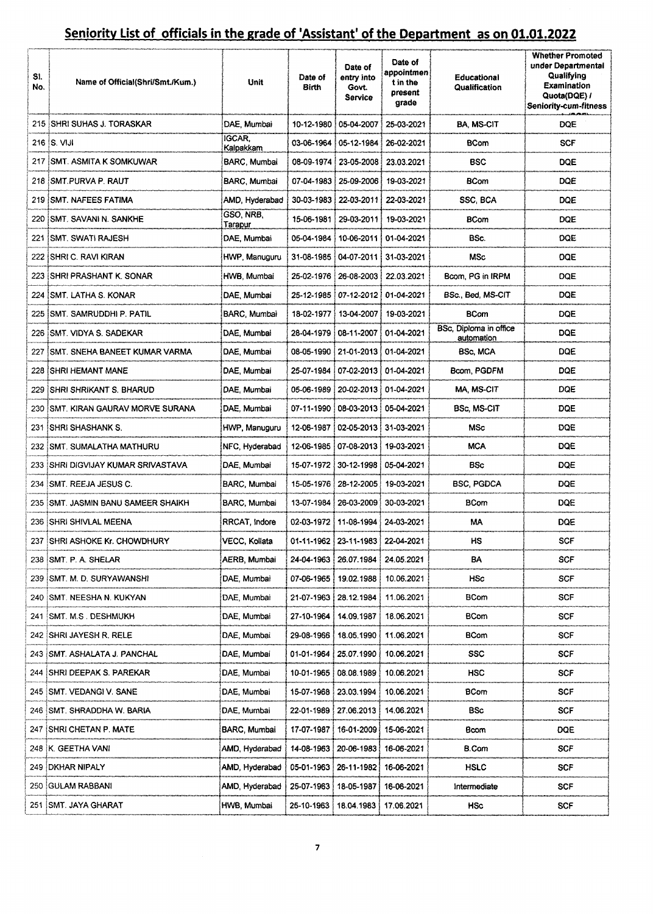| SI.<br>No. | Name of Official(Shri/Smt./Kum.)      | Unit                 | Date of<br>Birth | Date of<br>entry into<br>Govt.<br>Service | Date of<br>appointmen<br>t in the<br>present<br>grade | Educational<br>Qualification         | <b>Whether Promoted</b><br>under Departmental<br>Qualifying<br>Examination<br>Quota(DQE) /<br><b>Seniority-cum-fitness</b> |
|------------|---------------------------------------|----------------------|------------------|-------------------------------------------|-------------------------------------------------------|--------------------------------------|----------------------------------------------------------------------------------------------------------------------------|
|            | 215 ISHRI SUHAS J. TORASKAR           | DAE, Mumbai          |                  | 10-12-1980 : 05-04-2007 :                 | 25-03-2021                                            | <b>BA MS-CIT</b>                     | DQE                                                                                                                        |
|            | 216 S. VIJI                           | IGCAR,<br>Kalpakkam  |                  | 03-06-1964   05-12-1984                   | 26-02-2021                                            | BCom                                 | <b>SCF</b>                                                                                                                 |
|            | 217 ISMT, ASMITA K SOMKUWAR           | BARC, Mumbai         | 08-09-1974       | 23-05-2008                                | 23.03.2021                                            | <b>BSC</b>                           | DQE                                                                                                                        |
|            | 218 SMT.PURVA P. RAUT                 | BARC, Mumbai         | 07-04-1983       | 25-09-2006                                | 19-03-2021                                            | <b>BCom</b>                          | <b>DQE</b>                                                                                                                 |
|            | 219 SMT, NAFEES FATIMA                | AMD, Hyderabad       | 30-03-1983       | 22-03-2011                                | 22-03-2021                                            | SSC, BCA                             | DQE                                                                                                                        |
|            | 220 SMT, SAVANI N. SANKHE             | GSO, NRB,<br>Tarapur | 15-06-1981       | 29-03-2011                                | 19-03-2021                                            | <b>BCom</b>                          | <b>DQE</b>                                                                                                                 |
| 221        | <b>ISMT. SWATI RAJESH</b>             | DAE Mumbai           | 05-04-1984       | 10-06-2011                                | 01-04-2021                                            | BSc.                                 | DQE                                                                                                                        |
|            | 222 ISHRI C. RAVI KIRAN               | HWP, Manuguru        | 31-08-1985       | 04-07-2011                                | 31-03-2021                                            | MSc                                  | <b>DQE</b>                                                                                                                 |
|            | 223 ISHRI PRASHANT K. SONAR           | HWB, Mumbai          | 25-02-1976       | 26-08-2003                                | 22.03.2021                                            | Bcom, PG in IRPM                     | <b>DQE</b>                                                                                                                 |
| 224        | <b>SMT. LATHA S. KONAR</b>            | DAE, Mumbai          | 25-12-1985       | i 07-12-2012 i                            | 01-04-2021                                            | BSc., Bed, MS-CIT                    | <b>DQE</b>                                                                                                                 |
|            | 225 ISMT, SAMRUDDHI P. PATIL          | BARC, Mumbai         | 18-02-1977       | 13-04-2007                                | 19-03-2021                                            | <b>BCom</b>                          | <b>DQE</b>                                                                                                                 |
|            | 226 SMT, VIDYA S, SADEKAR             | DAE. Mumbai          | 28-04-1979       | 08-11-2007                                | 01-04-2021                                            | BSc, Diploma in office<br>automation | DQE                                                                                                                        |
| 227        | <b>ISMT. SNEHA BANEET KUMAR VARMA</b> | DAE, Mumbai          |                  | 08-05-1990   21-01-2013                   | 01-04-2021                                            | BSc, MCA                             | DQE                                                                                                                        |
|            | <b>228 ISHRI HEMANT MANE</b>          | DAE, Mumbai          | 25-07-1984       | 07-02-2013                                | 01-04-2021                                            | Bcom, PGDFM                          | <b>DQE</b>                                                                                                                 |
|            | 229 ISHRI SHRIKANT S. BHARUD          | DAE, Mumbai          |                  | 05-06-1989   20-02-2013                   | 01-04-2021                                            | MA, MS-CIT                           | DQE                                                                                                                        |
|            | 230 SMT. KIRAN GAURAV MORVE SURANA    | DAE, Mumbai          | 07-11-1990 i     | 08-03-2013                                | 05-04-2021                                            | BSc, MS-CIT                          | DQE                                                                                                                        |
|            | 231 ISHRI SHASHANK S.                 | HWP, Manuguru        | 12-06-1987       | 02-05-2013 i                              | 31-03-2021                                            | MSc                                  | <b>DOE</b>                                                                                                                 |
|            | 232 ISMT, SUMALATHA MATHURU           | NFC, Hyderabad       | 12-06-1985       | 07-08-2013                                | 19-03-2021                                            | <b>MCA</b>                           | <b>DQE</b>                                                                                                                 |
|            | 233 ISHRI DIGVIJAY KUMAR SRIVASTAVA   | DAE, Mumbai          |                  | 15-07-1972   30-12-1998                   | 05-04-2021                                            | <b>BSc</b>                           | <b>DQE</b>                                                                                                                 |
| 234        | ISMT. REEJA JESUS C.                  | BARC, Mumbai         |                  | 15-05-1976   28-12-2005                   | 19-03-2021                                            | BSC, PGDCA                           | <b>DQE</b>                                                                                                                 |
| 235.       | :SMT. JASMIN BANU SAMEER SHAIKH       | BARC, Mumbai         | 13-07-1984       | 26-03-2009                                | 30-03-2021                                            | BCom                                 | DQE                                                                                                                        |
|            | 236 SHRI SHIVLAL MEENA                | RRCAT, Indore        |                  | 02-03-1972 11-08-1994 1                   | 24-03-2021                                            | МA                                   | <b>DQE</b>                                                                                                                 |
|            | 237 SHRI ASHOKE Kr. CHOWDHURY         | VECC, Kollata        | 01-11-1962!      | 23-11-1983                                | 22-04-2021                                            | HS.                                  | <b>SCF</b>                                                                                                                 |
| 238        | ISMT. P. A. SHELAR                    | AERB, Mumbai         | 24-04-1963       | 26.07.1984                                | 24.05.2021                                            | BA                                   | <b>SCF</b>                                                                                                                 |
| 239        | :SMT. M. D. SURYAWANSHI               | DAE, Mumbai          | 07-06-1965       | 19.02.1988                                | 10.06.2021                                            | HSc                                  | <b>SCF</b>                                                                                                                 |
| 240        | ¦SMT. NEESHA N. KUKYAN                | DAE, Mumbai          | 21-07-1963       | 28.12.1984                                | 11.06.2021                                            | BCom                                 | <b>SCF</b>                                                                                                                 |
| 241        | SMT. M.S . DESHMUKH                   | DAE, Mumbai          | 27-10-1964       | 14.09.1987                                | 18.06.2021                                            | BCom                                 | <b>SCF</b>                                                                                                                 |
|            | 242 ISHRI JAYESH R. RELE              | DAE, Mumbai          | 29-08-1966       | 18.05.1990                                | 11.06.2021                                            | BCom                                 | <b>SCF</b>                                                                                                                 |
| 243        | <b>ISMT. ASHALATA J. PANCHAL</b>      | DAE, Mumbai          | 01-01-1964       | 25.07.1990                                | 10.06.2021                                            | SSC                                  | <b>SCF</b>                                                                                                                 |
| 244        | <b>SHRI DEEPAK S. PAREKAR</b>         | DAE, Mumbai          | 10-01-1965       | 08.08.1989                                | 10.06.2021                                            | HSC                                  | <b>SCF</b>                                                                                                                 |
|            | 245 SMT, VEDANGI V. SANE              | DAE, Mumbai          |                  | 15-07-1968   23.03.1994                   | 10.06.2021                                            | BCom                                 | <b>SCF</b>                                                                                                                 |
|            | 246 ISMT. SHRADDHA W. BARIA           | DAE, Mumbai          | 22-01-1989!      | 27.06.2013                                | 14.06.2021                                            | BSc                                  | <b>SCF</b>                                                                                                                 |
|            | <b>ISHRI CHETAN P. MATE</b>           | BARC, Mumbai         |                  | 17-07-1987   16-01-2009                   | 15-06-2021                                            | Bcom                                 | DQE                                                                                                                        |
|            | 248 K. GEETHA VANI                    | AMD, Hyderabad       |                  | 14-08-1963   20-06-1983                   | 16-06-2021                                            | <b>B.Com</b>                         | <b>SCF</b>                                                                                                                 |
|            | 249 DKHAR NIPALY                      | AMD, Hyderabad       |                  | 05-01-1963   26-11-1982   16-06-2021      |                                                       | HSLC                                 | SCF                                                                                                                        |
|            | 250 GULAM RABBANI                     | AMD, Hyderabad       |                  | 25-07-1963   18-05-1987                   | 16-06-2021                                            | Intermediate                         | SCF                                                                                                                        |
|            | 251 ISMT. JAYA GHARAT                 | HWB, Mumbai          |                  | 25-10-1963(18.04.1983)                    | 17.06.2021                                            | HSc                                  | SCF                                                                                                                        |